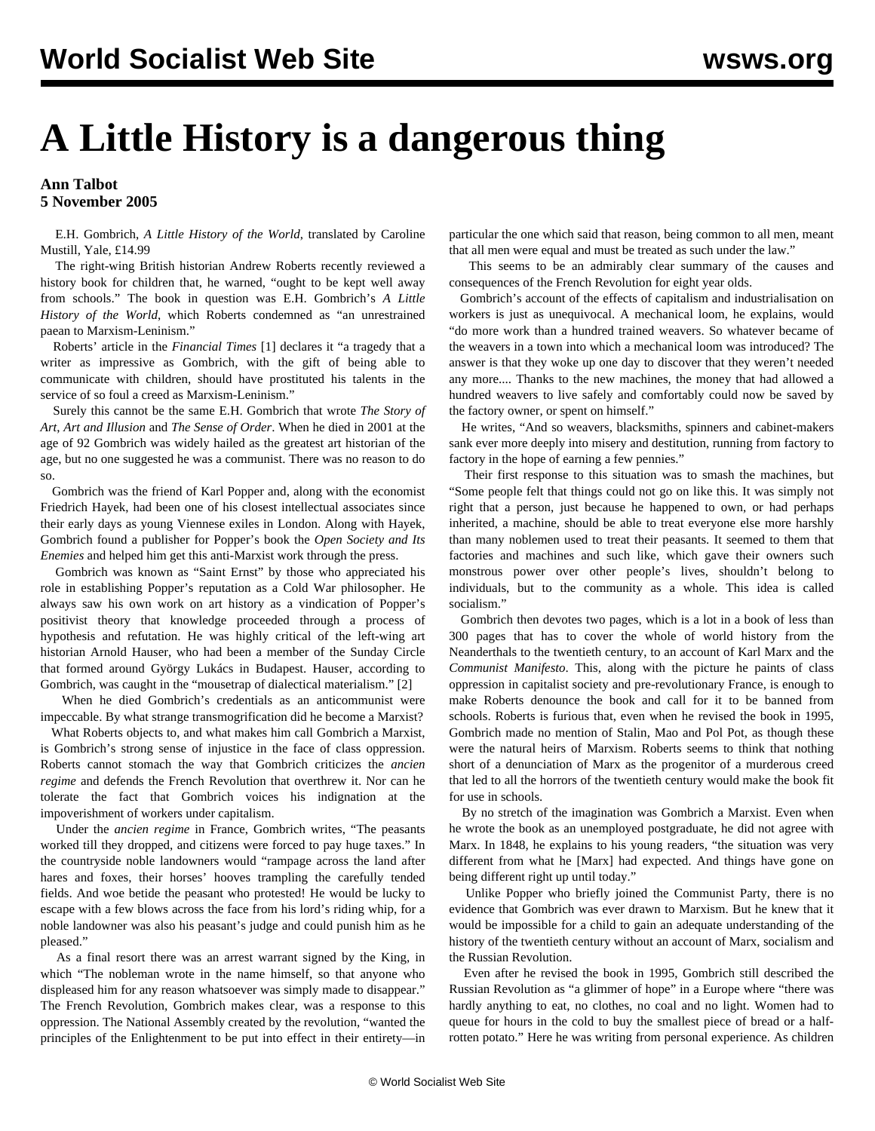## **A Little History is a dangerous thing**

## **Ann Talbot 5 November 2005**

 E.H. Gombrich, *A Little History of the World*, translated by Caroline Mustill, Yale, £14.99

 The right-wing British historian Andrew Roberts recently reviewed a history book for children that, he warned, "ought to be kept well away from schools." The book in question was E.H. Gombrich's *A Little History of the World*, which Roberts condemned as "an unrestrained paean to Marxism-Leninism."

 Roberts' article in the *Financial Times* [1] declares it "a tragedy that a writer as impressive as Gombrich, with the gift of being able to communicate with children, should have prostituted his talents in the service of so foul a creed as Marxism-Leninism."

 Surely this cannot be the same E.H. Gombrich that wrote *The Story of Art*, *Art and Illusion* and *The Sense of Order*. When he died in 2001 at the age of 92 Gombrich was widely hailed as the greatest art historian of the age, but no one suggested he was a communist. There was no reason to do so.

 Gombrich was the friend of Karl Popper and, along with the economist Friedrich Hayek, had been one of his closest intellectual associates since their early days as young Viennese exiles in London. Along with Hayek, Gombrich found a publisher for Popper's book the *Open Society and Its Enemies* and helped him get this anti-Marxist work through the press.

 Gombrich was known as "Saint Ernst" by those who appreciated his role in establishing Popper's reputation as a Cold War philosopher. He always saw his own work on art history as a vindication of Popper's positivist theory that knowledge proceeded through a process of hypothesis and refutation. He was highly critical of the left-wing art historian Arnold Hauser, who had been a member of the Sunday Circle that formed around György Lukács in Budapest. Hauser, according to Gombrich, was caught in the "mousetrap of dialectical materialism." [2]

 When he died Gombrich's credentials as an anticommunist were impeccable. By what strange transmogrification did he become a Marxist?

 What Roberts objects to, and what makes him call Gombrich a Marxist, is Gombrich's strong sense of injustice in the face of class oppression. Roberts cannot stomach the way that Gombrich criticizes the *ancien regime* and defends the French Revolution that overthrew it. Nor can he tolerate the fact that Gombrich voices his indignation at the impoverishment of workers under capitalism.

 Under the *ancien regime* in France, Gombrich writes, "The peasants worked till they dropped, and citizens were forced to pay huge taxes." In the countryside noble landowners would "rampage across the land after hares and foxes, their horses' hooves trampling the carefully tended fields. And woe betide the peasant who protested! He would be lucky to escape with a few blows across the face from his lord's riding whip, for a noble landowner was also his peasant's judge and could punish him as he pleased."

 As a final resort there was an arrest warrant signed by the King, in which "The nobleman wrote in the name himself, so that anyone who displeased him for any reason whatsoever was simply made to disappear." The French Revolution, Gombrich makes clear, was a response to this oppression. The National Assembly created by the revolution, "wanted the principles of the Enlightenment to be put into effect in their entirety—in particular the one which said that reason, being common to all men, meant that all men were equal and must be treated as such under the law."

 This seems to be an admirably clear summary of the causes and consequences of the French Revolution for eight year olds.

 Gombrich's account of the effects of capitalism and industrialisation on workers is just as unequivocal. A mechanical loom, he explains, would "do more work than a hundred trained weavers. So whatever became of the weavers in a town into which a mechanical loom was introduced? The answer is that they woke up one day to discover that they weren't needed any more.... Thanks to the new machines, the money that had allowed a hundred weavers to live safely and comfortably could now be saved by the factory owner, or spent on himself."

 He writes, "And so weavers, blacksmiths, spinners and cabinet-makers sank ever more deeply into misery and destitution, running from factory to factory in the hope of earning a few pennies."

 Their first response to this situation was to smash the machines, but "Some people felt that things could not go on like this. It was simply not right that a person, just because he happened to own, or had perhaps inherited, a machine, should be able to treat everyone else more harshly than many noblemen used to treat their peasants. It seemed to them that factories and machines and such like, which gave their owners such monstrous power over other people's lives, shouldn't belong to individuals, but to the community as a whole. This idea is called socialism."

 Gombrich then devotes two pages, which is a lot in a book of less than 300 pages that has to cover the whole of world history from the Neanderthals to the twentieth century, to an account of Karl Marx and the *Communist Manifesto*. This, along with the picture he paints of class oppression in capitalist society and pre-revolutionary France, is enough to make Roberts denounce the book and call for it to be banned from schools. Roberts is furious that, even when he revised the book in 1995, Gombrich made no mention of Stalin, Mao and Pol Pot, as though these were the natural heirs of Marxism. Roberts seems to think that nothing short of a denunciation of Marx as the progenitor of a murderous creed that led to all the horrors of the twentieth century would make the book fit for use in schools.

 By no stretch of the imagination was Gombrich a Marxist. Even when he wrote the book as an unemployed postgraduate, he did not agree with Marx. In 1848, he explains to his young readers, "the situation was very different from what he [Marx] had expected. And things have gone on being different right up until today."

 Unlike Popper who briefly joined the Communist Party, there is no evidence that Gombrich was ever drawn to Marxism. But he knew that it would be impossible for a child to gain an adequate understanding of the history of the twentieth century without an account of Marx, socialism and the Russian Revolution.

 Even after he revised the book in 1995, Gombrich still described the Russian Revolution as "a glimmer of hope" in a Europe where "there was hardly anything to eat, no clothes, no coal and no light. Women had to queue for hours in the cold to buy the smallest piece of bread or a halfrotten potato." Here he was writing from personal experience. As children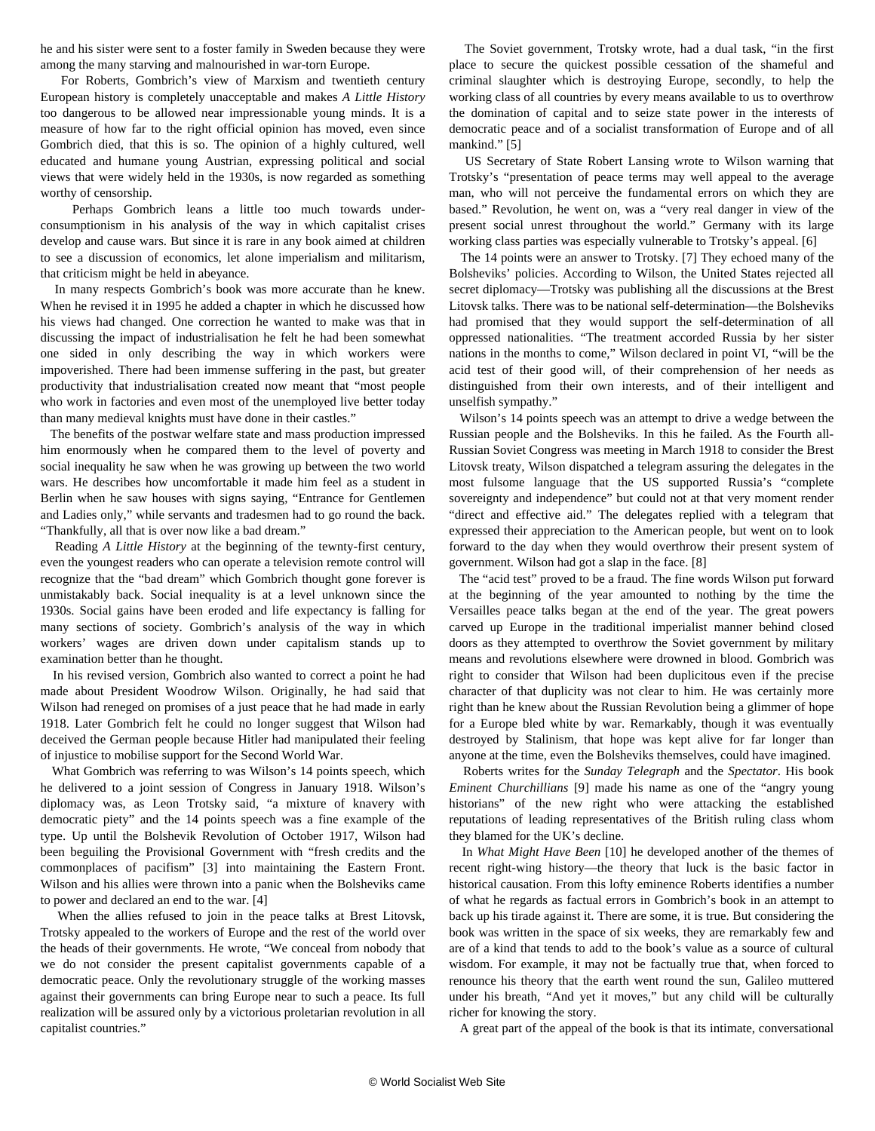he and his sister were sent to a foster family in Sweden because they were among the many starving and malnourished in war-torn Europe.

 For Roberts, Gombrich's view of Marxism and twentieth century European history is completely unacceptable and makes *A Little History* too dangerous to be allowed near impressionable young minds. It is a measure of how far to the right official opinion has moved, even since Gombrich died, that this is so. The opinion of a highly cultured, well educated and humane young Austrian, expressing political and social views that were widely held in the 1930s, is now regarded as something worthy of censorship.

 Perhaps Gombrich leans a little too much towards underconsumptionism in his analysis of the way in which capitalist crises develop and cause wars. But since it is rare in any book aimed at children to see a discussion of economics, let alone imperialism and militarism, that criticism might be held in abeyance.

 In many respects Gombrich's book was more accurate than he knew. When he revised it in 1995 he added a chapter in which he discussed how his views had changed. One correction he wanted to make was that in discussing the impact of industrialisation he felt he had been somewhat one sided in only describing the way in which workers were impoverished. There had been immense suffering in the past, but greater productivity that industrialisation created now meant that "most people who work in factories and even most of the unemployed live better today than many medieval knights must have done in their castles."

 The benefits of the postwar welfare state and mass production impressed him enormously when he compared them to the level of poverty and social inequality he saw when he was growing up between the two world wars. He describes how uncomfortable it made him feel as a student in Berlin when he saw houses with signs saying, "Entrance for Gentlemen and Ladies only," while servants and tradesmen had to go round the back. "Thankfully, all that is over now like a bad dream."

 Reading *A Little History* at the beginning of the tewnty-first century, even the youngest readers who can operate a television remote control will recognize that the "bad dream" which Gombrich thought gone forever is unmistakably back. Social inequality is at a level unknown since the 1930s. Social gains have been eroded and life expectancy is falling for many sections of society. Gombrich's analysis of the way in which workers' wages are driven down under capitalism stands up to examination better than he thought.

 In his revised version, Gombrich also wanted to correct a point he had made about President Woodrow Wilson. Originally, he had said that Wilson had reneged on promises of a just peace that he had made in early 1918. Later Gombrich felt he could no longer suggest that Wilson had deceived the German people because Hitler had manipulated their feeling of injustice to mobilise support for the Second World War.

 What Gombrich was referring to was Wilson's 14 points speech, which he delivered to a joint session of Congress in January 1918. Wilson's diplomacy was, as Leon Trotsky said, "a mixture of knavery with democratic piety" and the 14 points speech was a fine example of the type. Up until the Bolshevik Revolution of October 1917, Wilson had been beguiling the Provisional Government with "fresh credits and the commonplaces of pacifism" [3] into maintaining the Eastern Front. Wilson and his allies were thrown into a panic when the Bolsheviks came to power and declared an end to the war. [4]

 When the allies refused to join in the peace talks at Brest Litovsk, Trotsky appealed to the workers of Europe and the rest of the world over the heads of their governments. He wrote, "We conceal from nobody that we do not consider the present capitalist governments capable of a democratic peace. Only the revolutionary struggle of the working masses against their governments can bring Europe near to such a peace. Its full realization will be assured only by a victorious proletarian revolution in all capitalist countries."

 The Soviet government, Trotsky wrote, had a dual task, "in the first place to secure the quickest possible cessation of the shameful and criminal slaughter which is destroying Europe, secondly, to help the working class of all countries by every means available to us to overthrow the domination of capital and to seize state power in the interests of democratic peace and of a socialist transformation of Europe and of all mankind." [5]

 US Secretary of State Robert Lansing wrote to Wilson warning that Trotsky's "presentation of peace terms may well appeal to the average man, who will not perceive the fundamental errors on which they are based." Revolution, he went on, was a "very real danger in view of the present social unrest throughout the world." Germany with its large working class parties was especially vulnerable to Trotsky's appeal. [6]

 The 14 points were an answer to Trotsky. [7] They echoed many of the Bolsheviks' policies. According to Wilson, the United States rejected all secret diplomacy—Trotsky was publishing all the discussions at the Brest Litovsk talks. There was to be national self-determination—the Bolsheviks had promised that they would support the self-determination of all oppressed nationalities. "The treatment accorded Russia by her sister nations in the months to come," Wilson declared in point VI, "will be the acid test of their good will, of their comprehension of her needs as distinguished from their own interests, and of their intelligent and unselfish sympathy."

 Wilson's 14 points speech was an attempt to drive a wedge between the Russian people and the Bolsheviks. In this he failed. As the Fourth all-Russian Soviet Congress was meeting in March 1918 to consider the Brest Litovsk treaty, Wilson dispatched a telegram assuring the delegates in the most fulsome language that the US supported Russia's "complete sovereignty and independence" but could not at that very moment render "direct and effective aid." The delegates replied with a telegram that expressed their appreciation to the American people, but went on to look forward to the day when they would overthrow their present system of government. Wilson had got a slap in the face. [8]

 The "acid test" proved to be a fraud. The fine words Wilson put forward at the beginning of the year amounted to nothing by the time the Versailles peace talks began at the end of the year. The great powers carved up Europe in the traditional imperialist manner behind closed doors as they attempted to overthrow the Soviet government by military means and revolutions elsewhere were drowned in blood. Gombrich was right to consider that Wilson had been duplicitous even if the precise character of that duplicity was not clear to him. He was certainly more right than he knew about the Russian Revolution being a glimmer of hope for a Europe bled white by war. Remarkably, though it was eventually destroyed by Stalinism, that hope was kept alive for far longer than anyone at the time, even the Bolsheviks themselves, could have imagined.

 Roberts writes for the *Sunday Telegraph* and the *Spectator*. His book *Eminent Churchillians* [9] made his name as one of the "angry young historians" of the new right who were attacking the established reputations of leading representatives of the British ruling class whom they blamed for the UK's decline.

 In *What Might Have Been* [10] he developed another of the themes of recent right-wing history—the theory that luck is the basic factor in historical causation. From this lofty eminence Roberts identifies a number of what he regards as factual errors in Gombrich's book in an attempt to back up his tirade against it. There are some, it is true. But considering the book was written in the space of six weeks, they are remarkably few and are of a kind that tends to add to the book's value as a source of cultural wisdom. For example, it may not be factually true that, when forced to renounce his theory that the earth went round the sun, Galileo muttered under his breath, "And yet it moves," but any child will be culturally richer for knowing the story.

A great part of the appeal of the book is that its intimate, conversational